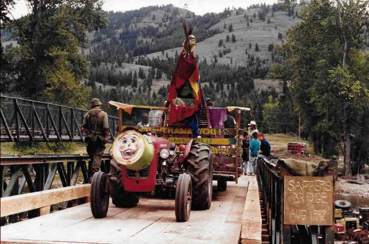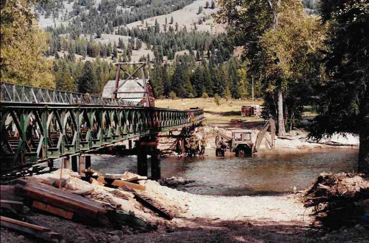